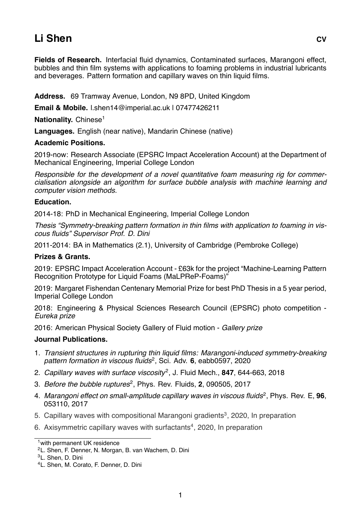# **Li Shen CV**

**Fields of Research.** Interfacial fluid dynamics, Contaminated surfaces, Marangoni effect, bubbles and thin film systems with applications to foaming problems in industrial lubricants and beverages. Pattern formation and capillary waves on thin liquid films.

**Address.** 69 Tramway Avenue, London, N9 8PD, United Kingdom

**Email & Mobile.** l.shen14@imperial.ac.uk | 07477426211

**Nationality.** Chinese<sup>1</sup>

**Languages.** English (near native), Mandarin Chinese (native)

# **Academic Positions.**

2019-now: Research Associate (EPSRC Impact Acceleration Account) at the Department of Mechanical Engineering, Imperial College London

*Responsible for the development of a novel quantitative foam measuring rig for commercialisation alongside an algorithm for surface bubble analysis with machine learning and computer vision methods.*

# **Education.**

2014-18: PhD in Mechanical Engineering, Imperial College London

*Thesis "Symmetry-breaking pattern formation in thin films with application to foaming in viscous fluids" Supervisor Prof. D. Dini*

2011-2014: BA in Mathematics (2.1), University of Cambridge (Pembroke College)

#### **Prizes & Grants.**

2019: EPSRC Impact Acceleration Account - £63k for the project "Machine-Learning Pattern Recognition Prototype for Liquid Foams (MaLPReP-Foams)"

2019: Margaret Fishendan Centenary Memorial Prize for best PhD Thesis in a 5 year period, Imperial College London

2018: Engineering & Physical Sciences Research Council (EPSRC) photo competition - *Eureka prize*

2016: American Physical Society Gallery of Fluid motion - *Gallery prize*

#### **Journal Publications.**

- 1. *Transient structures in rupturing thin liquid films: Marangoni-induced symmetry-breaking pattern formation in viscous fluids*<sup>2</sup> , Sci. Adv. **6**, eabb0597, 2020
- 2. Capillary waves with surface viscosity<sup>2</sup>, J. Fluid Mech., **847**, 644-663, 2018
- 3. *Before the bubble ruptures*<sup>2</sup> , Phys. Rev. Fluids, **2**, 090505, 2017
- 4. Marangoni effect on small-amplitude capillary waves in viscous fluids<sup>2</sup>, Phys. Rev. E, 96, 053110, 2017
- 5. Capillary waves with compositional Marangoni gradients<sup>3</sup>, 2020, In preparation
- 6. Axisymmetric capillary waves with surfactants<sup>4</sup>, 2020, In preparation

<sup>1</sup>with permanent UK residence

<sup>2</sup>L. Shen, F. Denner, N. Morgan, B. van Wachem, D. Dini

<sup>3</sup>L. Shen, D. Dini

<sup>4</sup>L. Shen, M. Corato, F. Denner, D. Dini